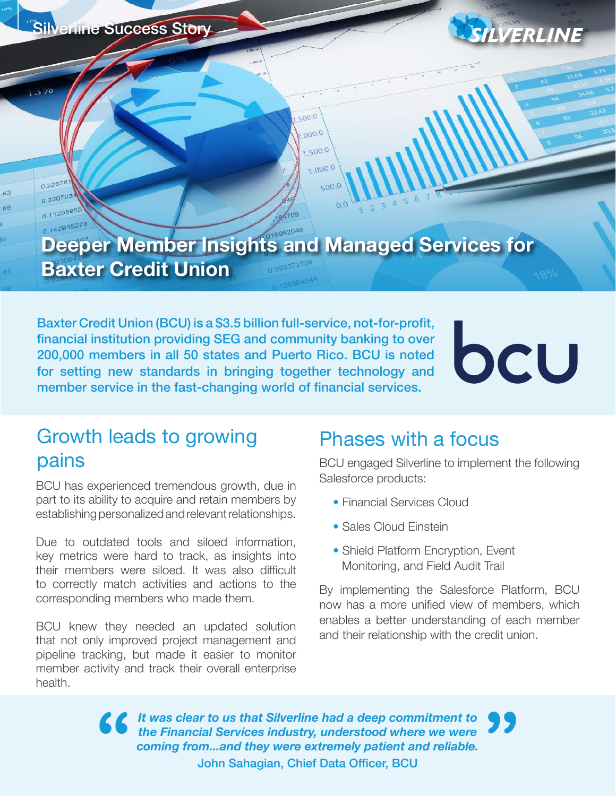Silverline Success Story



0.22578

## **Deeper Member Insights and Managed Services for Baxter Credit Union**

500.0  $0000$ 1,500.0 1,000.0

 $500.5$ 

Baxter Credit Union (BCU) is a \$3.5 billion full-service, not-for-profit, financial institution providing SEG and community banking to over 200,000 members in all 50 states and Puerto Rico. BCU is noted for setting new standards in bringing together technology and member service in the fast-changing world of financial services.

# bcU

#### Growth leads to growing pains

BCU has experienced tremendous growth, due in part to its ability to acquire and retain members by establishing personalized and relevant relationships.

Due to outdated tools and siloed information, key metrics were hard to track, as insights into their members were siloed. It was also difficult to correctly match activities and actions to the corresponding members who made them.

BCU knew they needed an updated solution that not only improved project management and pipeline tracking, but made it easier to monitor member activity and track their overall enterprise health.

#### Phases with a focus

BCU engaged Silverline to implement the following Salesforce products:

- Financial Services Cloud
- Sales Cloud Einstein
- Shield Platform Encryption, Event Monitoring, and Field Audit Trail

By implementing the Salesforce Platform, BCU now has a more unified view of members, which enables a better understanding of each member and their relationship with the credit union.

*It was clear to us that Silverline had a deep commitment to the Financial Services industry, understood where we were coming from...and they were extremely patient and reliable.* **"** John Sahagian, Chief Data Officer, BCU